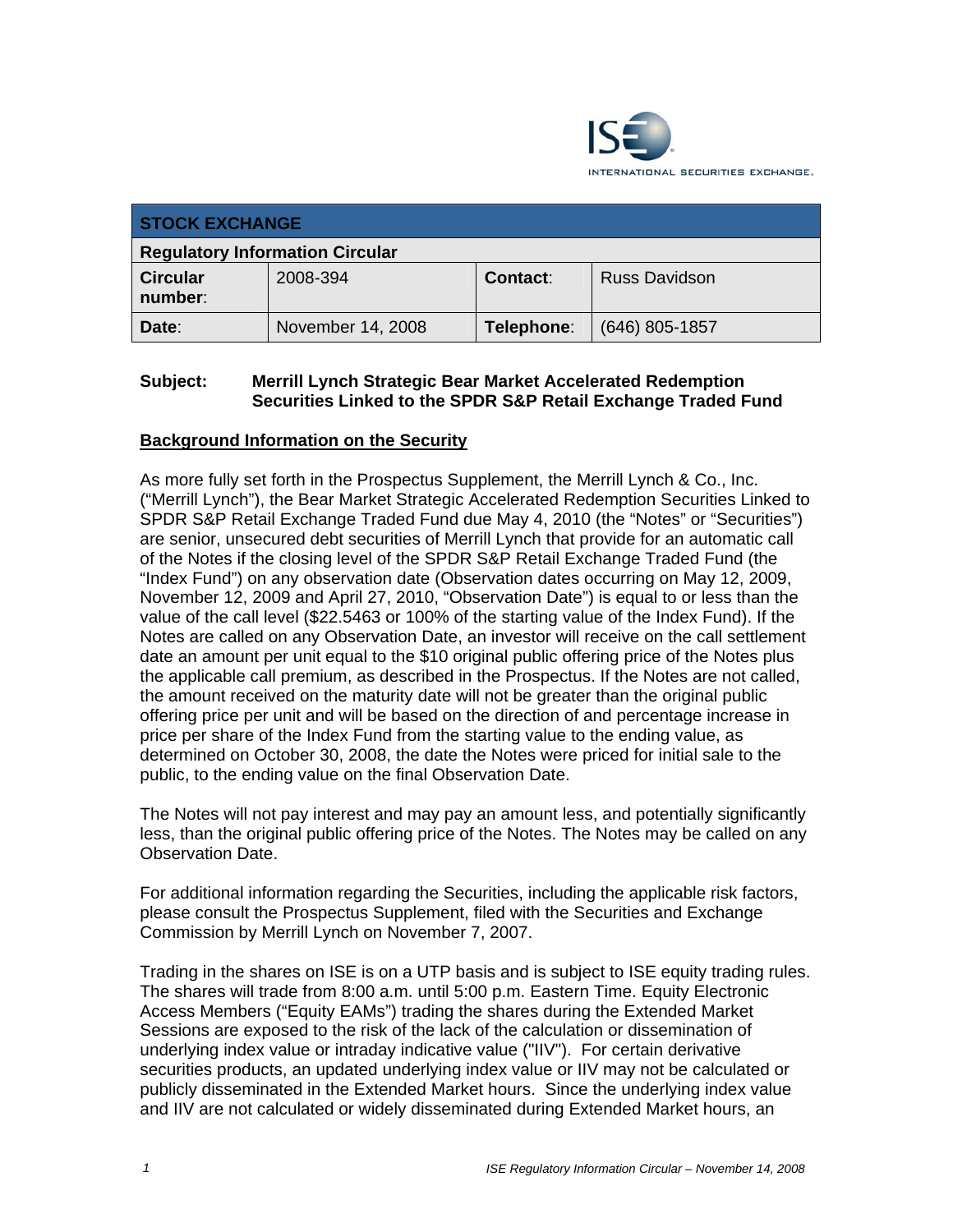

| <b>STOCK EXCHANGE</b>                  |                   |            |                      |
|----------------------------------------|-------------------|------------|----------------------|
| <b>Regulatory Information Circular</b> |                   |            |                      |
| <b>Circular</b><br>number:             | 2008-394          | Contact:   | <b>Russ Davidson</b> |
| Date:                                  | November 14, 2008 | Telephone: | $(646)$ 805-1857     |

## **Subject: Merrill Lynch Strategic Bear Market Accelerated Redemption Securities Linked to the SPDR S&P Retail Exchange Traded Fund**

## **Background Information on the Security**

As more fully set forth in the Prospectus Supplement, the Merrill Lynch & Co., Inc. ("Merrill Lynch"), the Bear Market Strategic Accelerated Redemption Securities Linked to SPDR S&P Retail Exchange Traded Fund due May 4, 2010 (the "Notes" or "Securities") are senior, unsecured debt securities of Merrill Lynch that provide for an automatic call of the Notes if the closing level of the SPDR S&P Retail Exchange Traded Fund (the "Index Fund") on any observation date (Observation dates occurring on May 12, 2009, November 12, 2009 and April 27, 2010, "Observation Date") is equal to or less than the value of the call level (\$22.5463 or 100% of the starting value of the Index Fund). If the Notes are called on any Observation Date, an investor will receive on the call settlement date an amount per unit equal to the \$10 original public offering price of the Notes plus the applicable call premium, as described in the Prospectus. If the Notes are not called, the amount received on the maturity date will not be greater than the original public offering price per unit and will be based on the direction of and percentage increase in price per share of the Index Fund from the starting value to the ending value, as determined on October 30, 2008, the date the Notes were priced for initial sale to the public, to the ending value on the final Observation Date.

The Notes will not pay interest and may pay an amount less, and potentially significantly less, than the original public offering price of the Notes. The Notes may be called on any Observation Date.

For additional information regarding the Securities, including the applicable risk factors, please consult the Prospectus Supplement, filed with the Securities and Exchange Commission by Merrill Lynch on November 7, 2007.

Trading in the shares on ISE is on a UTP basis and is subject to ISE equity trading rules. The shares will trade from 8:00 a.m. until 5:00 p.m. Eastern Time. Equity Electronic Access Members ("Equity EAMs") trading the shares during the Extended Market Sessions are exposed to the risk of the lack of the calculation or dissemination of underlying index value or intraday indicative value ("IIV"). For certain derivative securities products, an updated underlying index value or IIV may not be calculated or publicly disseminated in the Extended Market hours. Since the underlying index value and IIV are not calculated or widely disseminated during Extended Market hours, an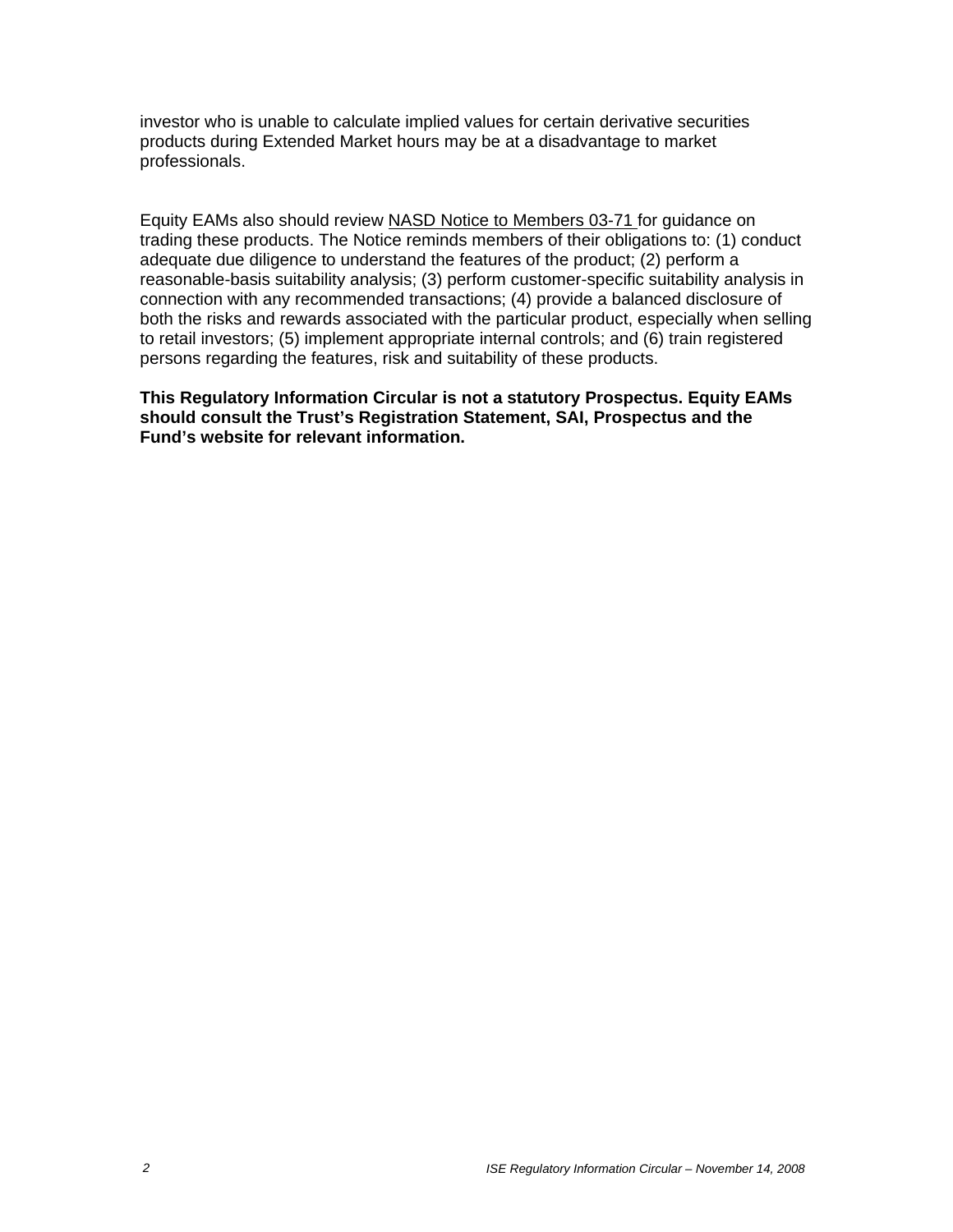investor who is unable to calculate implied values for certain derivative securities products during Extended Market hours may be at a disadvantage to market professionals.

Equity EAMs also should review NASD Notice to Members 03-71 for guidance on trading these products. The Notice reminds members of their obligations to: (1) conduct adequate due diligence to understand the features of the product; (2) perform a reasonable-basis suitability analysis; (3) perform customer-specific suitability analysis in connection with any recommended transactions; (4) provide a balanced disclosure of both the risks and rewards associated with the particular product, especially when selling to retail investors; (5) implement appropriate internal controls; and (6) train registered persons regarding the features, risk and suitability of these products.

**This Regulatory Information Circular is not a statutory Prospectus. Equity EAMs should consult the Trust's Registration Statement, SAI, Prospectus and the Fund's website for relevant information.**